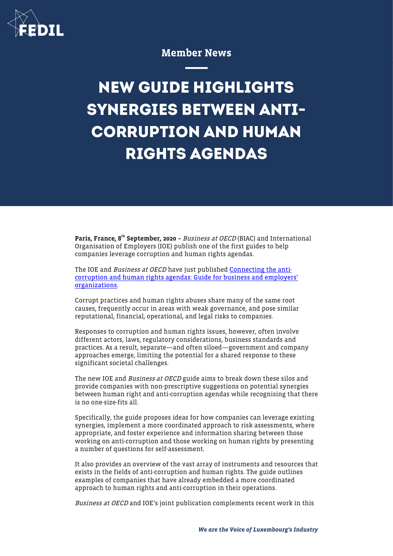

# Member News

# **NEW GUIDE HIGHLIGHTS SYNERGIES BETWEEN ANTI-CORRUPTION AND HUMAN RIGHTS AGENDAS**

Paris, France, 8<sup>th</sup> September, 2020 - Business at OECD (BIAC) and International Organisation of Employers (IOE) publish one of the first guides to help companies leverage corruption and human rights agendas.

The IOE and *Business at OECD* have just published **[Connecting the anti](http://biac.org/wp-content/uploads/2020/09/2020-08-31-Business-at-OECD-IOE-AC-HR-guide.pdf)**[corruption and human rights agendas: Guide for business and employers'](http://biac.org/wp-content/uploads/2020/09/2020-08-31-Business-at-OECD-IOE-AC-HR-guide.pdf) [organizations](http://biac.org/wp-content/uploads/2020/09/2020-08-31-Business-at-OECD-IOE-AC-HR-guide.pdf).

Corrupt practices and human rights abuses share many of the same root causes, frequently occur in areas with weak governance, and pose similar reputational, financial, operational, and legal risks to companies.

Responses to corruption and human rights issues, however, often involve different actors, laws, regulatory considerations, business standards and practices. As a result, separate—and often siloed—government and company approaches emerge, limiting the potential for a shared response to these significant societal challenges.

The new IOE and *Business at OECD* guide aims to break down these silos and provide companies with non-prescriptive suggestions on potential synergies between human right and anti-corruption agendas while recognising that there is no one-size-fits all.

Specifically, the guide proposes ideas for how companies can leverage existing synergies, implement a more coordinated approach to risk assessments, where appropriate, and foster experience and information sharing between those working on anti-corruption and those working on human rights by presenting a number of questions for self-assessment.

It also provides an overview of the vast array of instruments and resources that exists in the fields of anti-corruption and human rights. The guide outlines examples of companies that have already embedded a more coordinated approach to human rights and anti-corruption in their operations.

Business at OECD and IOE's joint publication complements recent work in this